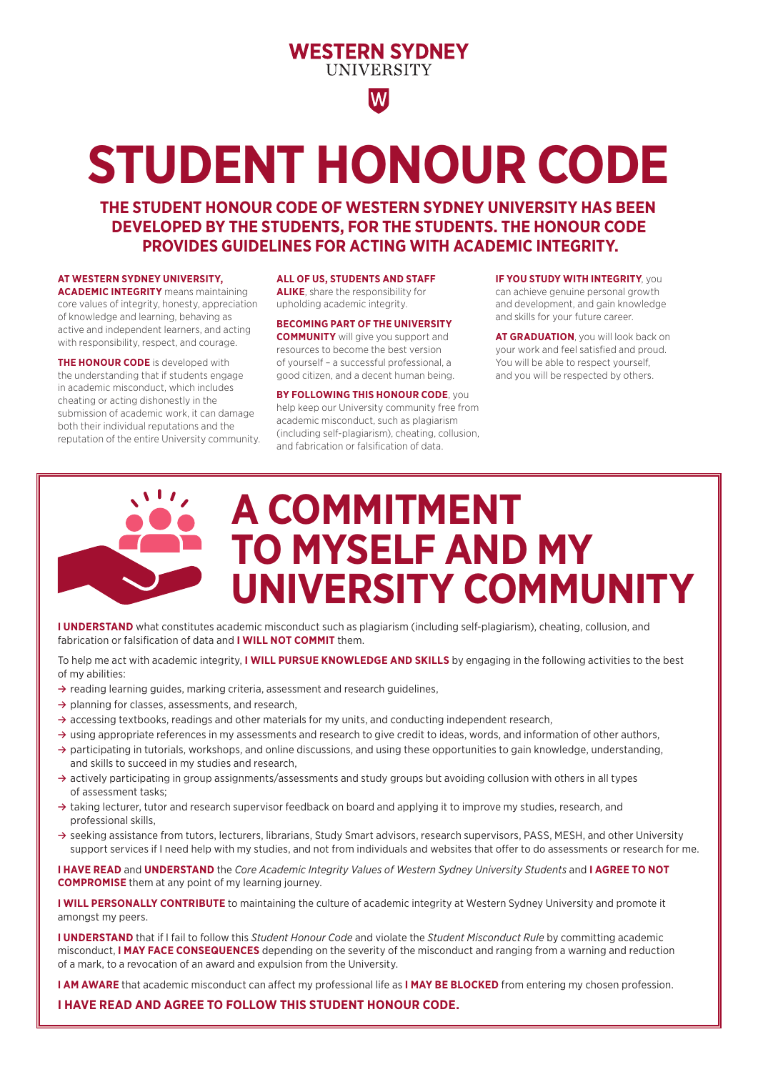# **WESTERN SYDNEY UNIVERSITY**

# W

# **STUDENT HONOUR CODE**

**THE STUDENT HONOUR CODE OF WESTERN SYDNEY UNIVERSITY HAS BEEN DEVELOPED BY THE STUDENTS, FOR THE STUDENTS. THE HONOUR CODE PROVIDES GUIDELINES FOR ACTING WITH ACADEMIC INTEGRITY.**

## **AT WESTERN SYDNEY UNIVERSITY,**

**ACADEMIC INTEGRITY** means maintaining core values of integrity, honesty, appreciation of knowledge and learning, behaving as active and independent learners, and acting with responsibility, respect, and courage.

**THE HONOUR CODE** is developed with the understanding that if students engage in academic misconduct, which includes cheating or acting dishonestly in the submission of academic work, it can damage both their individual reputations and the reputation of the entire University community.

**ALL OF US, STUDENTS AND STAFF ALIKE**, share the responsibility for upholding academic integrity.

#### **BECOMING PART OF THE UNIVERSITY**

**COMMUNITY** will give you support and resources to become the best version of yourself – a successful professional, a good citizen, and a decent human being.

**BY FOLLOWING THIS HONOUR CODE**, you help keep our University community free from academic misconduct, such as plagiarism (including self-plagiarism), cheating, collusion, and fabrication or falsification of data.

**IF YOU STUDY WITH INTEGRITY**, you can achieve genuine personal growth and development, and gain knowledge and skills for your future career.

**AT GRADUATION**, you will look back on your work and feel satisfied and proud. You will be able to respect yourself, and you will be respected by others.

# **A COMMITMENT TO MYSELF AND MY UNIVERSITY COMMUNITY**

**I UNDERSTAND** what constitutes academic misconduct such as plagiarism (including self-plagiarism), cheating, collusion, and fabrication or falsification of data and **I WILL NOT COMMIT** them.

To help me act with academic integrity, **I WILL PURSUE KNOWLEDGE AND SKILLS** by engaging in the following activities to the best of my abilities:

- **≥** reading learning guides, marking criteria, assessment and research guidelines,
- **≥** planning for classes, assessments, and research,
- **≥** accessing textbooks, readings and other materials for my units, and conducting independent research,
- **≥** using appropriate references in my assessments and research to give credit to ideas, words, and information of other authors,
- **≥** participating in tutorials, workshops, and online discussions, and using these opportunities to gain knowledge, understanding, and skills to succeed in my studies and research,
- **≥** actively participating in group assignments/assessments and study groups but avoiding collusion with others in all types of assessment tasks;
- **≥** taking lecturer, tutor and research supervisor feedback on board and applying it to improve my studies, research, and professional skills,
- **≥** seeking assistance from tutors, lecturers, librarians, Study Smart advisors, research supervisors, PASS, MESH, and other University support services if I need help with my studies, and not from individuals and websites that offer to do assessments or research for me.

**I HAVE READ** and **UNDERSTAND** the *Core Academic Integrity Values of Western Sydney University Students* and **I AGREE TO NOT COMPROMISE** them at any point of my learning journey.

**I WILL PERSONALLY CONTRIBUTE** to maintaining the culture of academic integrity at Western Sydney University and promote it amongst my peers.

**I UNDERSTAND** that if I fail to follow this *Student Honour Code* and violate the *Student Misconduct Rule* by committing academic misconduct, **I MAY FACE CONSEQUENCES** depending on the severity of the misconduct and ranging from a warning and reduction of a mark, to a revocation of an award and expulsion from the University.

**I AM AWARE** that academic misconduct can affect my professional life as **I MAY BE BLOCKED** from entering my chosen profession.

**I HAVE READ AND AGREE TO FOLLOW THIS STUDENT HONOUR CODE.**